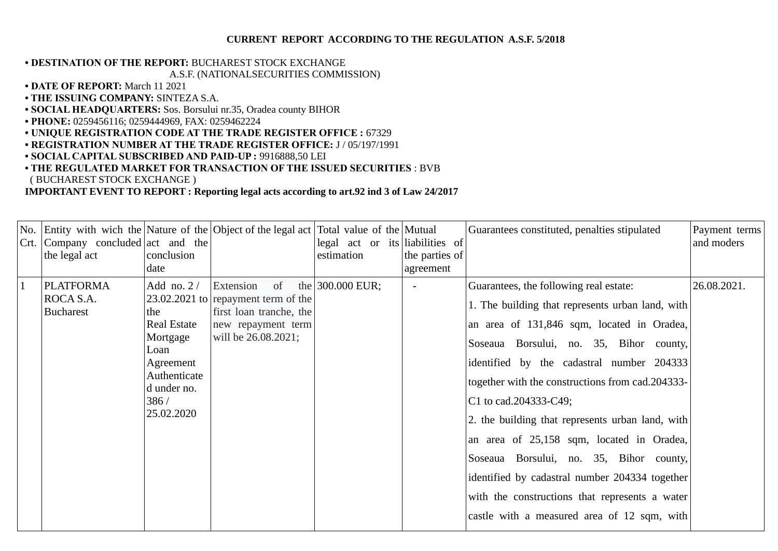#### **CURRENT REPORT ACCORDING TO THE REGULATION A.S.F. 5/2018**

# **• DESTINATION OF THE REPORT:** BUCHAREST STOCK EXCHANGE

### A.S.F. (NATIONALSECURITIES COMMISSION)

- **DATE OF REPORT:** March 11 2021
- **THE ISSUING COMPANY:** SINTEZA S.A.
- **SOCIAL HEADQUARTERS:** Sos. Borsului nr.35, Oradea county BIHOR
- **PHONE:** 0259456116; 0259444969, FAX: 0259462224
- **UNIQUE REGISTRATION CODE AT THE TRADE REGISTER OFFICE :** 67329
- **REGISTRATION NUMBER AT THE TRADE REGISTER OFFICE:** J / 05/197/1991
- **SOCIAL CAPITAL SUBSCRIBED AND PAID-UP :** 9916888,50 LEI
- **THE REGULATED MARKET FOR TRANSACTION OF THE ISSUED SECURITIES** : BVB ( BUCHAREST STOCK EXCHANGE )

## **IMPORTANT EVENT TO REPORT : Reporting legal acts according to art.92 ind 3 of Law 24/2017**

|              | No. Entity with wich the Nature of the Object of the legal act Total value of the Mutual<br>Crt. Company concluded act and the<br>the legal act | conclusion<br>date                                                                                                              |                                                                                                                                  | legal act or its liabilities of<br>estimation | the parties of<br>agreement | Guarantees constituted, penalties stipulated                                                                                                                                                                                                                                                                                                                                                                                                                                                                                                                                                                 | Payment terms<br>and moders |
|--------------|-------------------------------------------------------------------------------------------------------------------------------------------------|---------------------------------------------------------------------------------------------------------------------------------|----------------------------------------------------------------------------------------------------------------------------------|-----------------------------------------------|-----------------------------|--------------------------------------------------------------------------------------------------------------------------------------------------------------------------------------------------------------------------------------------------------------------------------------------------------------------------------------------------------------------------------------------------------------------------------------------------------------------------------------------------------------------------------------------------------------------------------------------------------------|-----------------------------|
| $\mathbf{1}$ | <b>PLATFORMA</b><br>ROCA S.A.<br><b>Bucharest</b>                                                                                               | Add no. $2/$<br>the<br><b>Real Estate</b><br>Mortgage<br>Loan<br>Agreement<br>Authenticate<br>d under no.<br>386/<br>25.02.2020 | Extension<br>of<br>$23.02.2021$ to repayment term of the<br>first loan tranche, the<br>new repayment term<br>will be 26.08.2021; | the 300.000 EUR;                              |                             | Guarantees, the following real estate:<br>1. The building that represents urban land, with<br>an area of 131,846 sqm, located in Oradea,<br>Soseaua Borsului, no. 35, Bihor county,<br>identified by the cadastral number 204333<br>together with the constructions from cad.204333-<br>C1 to cad.204333-C49;<br>2. the building that represents urban land, with<br>an area of 25,158 sqm, located in Oradea,<br>Soseaua Borsului, no. 35, Bihor county,<br>identified by cadastral number 204334 together<br>with the constructions that represents a water<br>castle with a measured area of 12 sqm, with | 26.08.2021.                 |